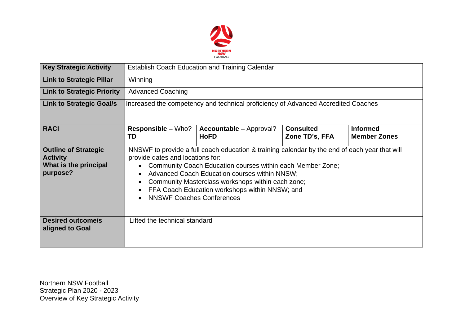

| <b>Key Strategic Activity</b>                                                       | Establish Coach Education and Training Calendar                                                                                                                                                                                                                                                                                                                                                                                                              |                                               |                                    |                                        |  |  |  |  |
|-------------------------------------------------------------------------------------|--------------------------------------------------------------------------------------------------------------------------------------------------------------------------------------------------------------------------------------------------------------------------------------------------------------------------------------------------------------------------------------------------------------------------------------------------------------|-----------------------------------------------|------------------------------------|----------------------------------------|--|--|--|--|
| <b>Link to Strategic Pillar</b>                                                     | Winning                                                                                                                                                                                                                                                                                                                                                                                                                                                      |                                               |                                    |                                        |  |  |  |  |
| <b>Link to Strategic Priority</b>                                                   | <b>Advanced Coaching</b>                                                                                                                                                                                                                                                                                                                                                                                                                                     |                                               |                                    |                                        |  |  |  |  |
| <b>Link to Strategic Goal/s</b>                                                     | Increased the competency and technical proficiency of Advanced Accredited Coaches                                                                                                                                                                                                                                                                                                                                                                            |                                               |                                    |                                        |  |  |  |  |
| <b>RACI</b>                                                                         | <b>Responsible – Who?</b><br>TD                                                                                                                                                                                                                                                                                                                                                                                                                              | <b>Accountable – Approval?</b><br><b>HoFD</b> | <b>Consulted</b><br>Zone TD's, FFA | <b>Informed</b><br><b>Member Zones</b> |  |  |  |  |
| <b>Outline of Strategic</b><br><b>Activity</b><br>What is the principal<br>purpose? | NNSWF to provide a full coach education & training calendar by the end of each year that will<br>provide dates and locations for:<br>Community Coach Education courses within each Member Zone;<br>$\bullet$<br>Advanced Coach Education courses within NNSW;<br>$\bullet$<br>Community Masterclass workshops within each zone;<br>$\bullet$<br>FFA Coach Education workshops within NNSW; and<br>$\bullet$<br><b>NNSWF Coaches Conferences</b><br>$\bullet$ |                                               |                                    |                                        |  |  |  |  |
| <b>Desired outcome/s</b><br>aligned to Goal                                         | Lifted the technical standard                                                                                                                                                                                                                                                                                                                                                                                                                                |                                               |                                    |                                        |  |  |  |  |

Northern NSW Football Strategic Plan 2020 - 2023 Overview of Key Strategic Activity